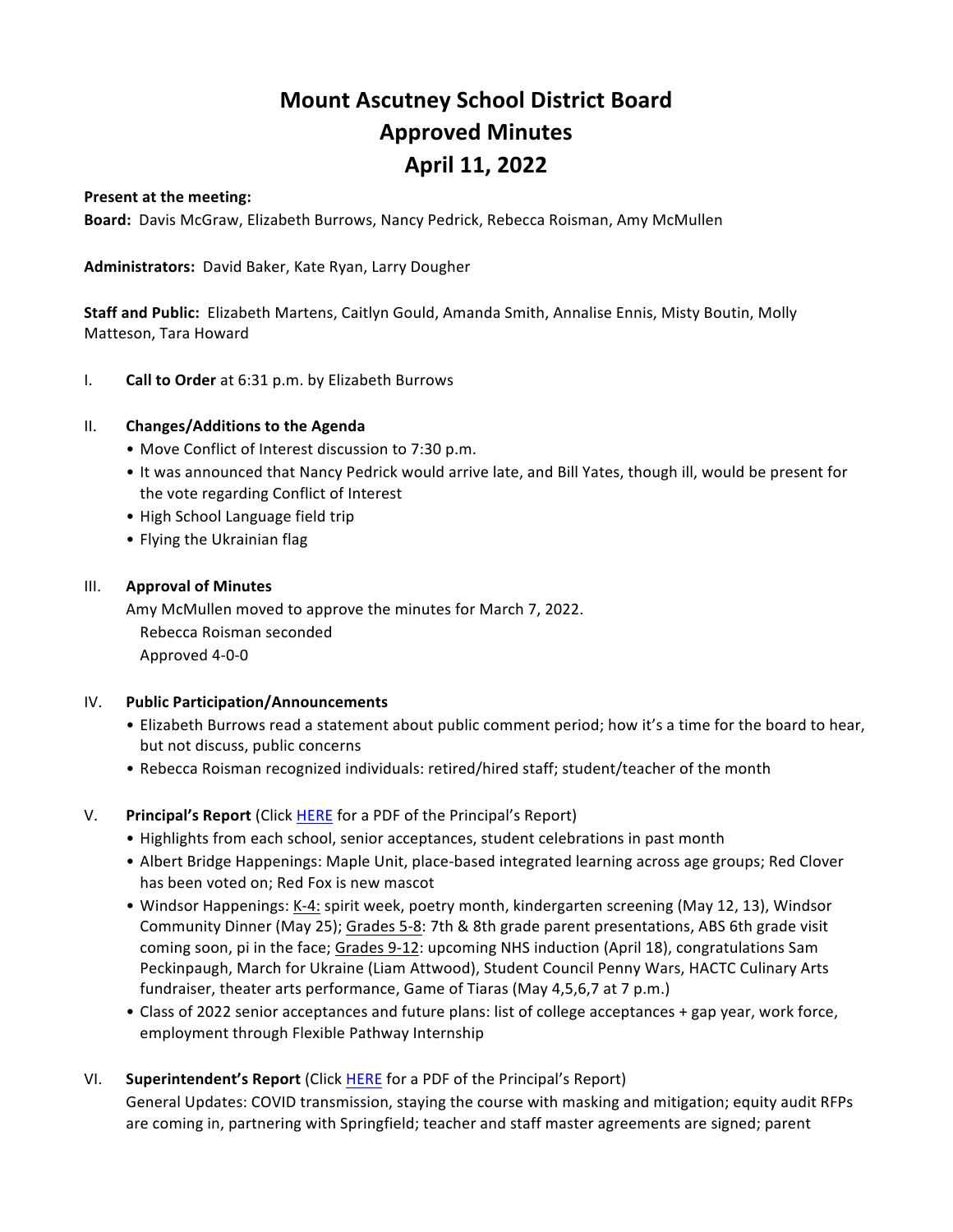# **Mount Ascutney School District Board Approved Minutes April 11, 2022**

#### **Present at the meeting:**

Board: Davis McGraw, Elizabeth Burrows, Nancy Pedrick, Rebecca Roisman, Amy McMullen

Administrators: David Baker, Kate Ryan, Larry Dougher

**Staff and Public:** Elizabeth Martens, Caitlyn Gould, Amanda Smith, Annalise Ennis, Misty Boutin, Molly Matteson, Tara Howard

I. **Call to Order** at 6:31 p.m. by Elizabeth Burrows

#### II. Changes/Additions to the Agenda

- Move Conflict of Interest discussion to 7:30 p.m.
- It was announced that Nancy Pedrick would arrive late, and Bill Yates, though ill, would be present for the vote regarding Conflict of Interest
- High School Language field trip
- Flying the Ukrainian flag

#### **III. Approval of Minutes**

Amy McMullen moved to approve the minutes for March 7, 2022. Rebecca Roisman seconded Approved 4-0-0

#### **IV.** Public Participation/Announcements

- Elizabeth Burrows read a statement about public comment period; how it's a time for the board to hear, but not discuss, public concerns
- Rebecca Roisman recognized individuals: retired/hired staff; student/teacher of the month

#### V. **Principal's Report** (Click HERE for a PDF of the Principal's Report)

- Highlights from each school, senior acceptances, student celebrations in past month
- Albert Bridge Happenings: Maple Unit, place-based integrated learning across age groups; Red Clover has been voted on; Red Fox is new mascot
- Windsor Happenings: K-4: spirit week, poetry month, kindergarten screening (May 12, 13), Windsor Community Dinner (May 25); Grades 5-8: 7th & 8th grade parent presentations, ABS 6th grade visit coming soon, pi in the face; Grades 9-12: upcoming NHS induction (April 18), congratulations Sam Peckinpaugh, March for Ukraine (Liam Attwood), Student Council Penny Wars, HACTC Culinary Arts fundraiser, theater arts performance, Game of Tiaras (May 4,5,6,7 at 7 p.m.)
- Class of 2022 senior acceptances and future plans: list of college acceptances + gap year, work force, employment through Flexible Pathway Internship
- VI. **Superintendent's Report** (Click HERE for a PDF of the Principal's Report)

General Updates: COVID transmission, staying the course with masking and mitigation; equity audit RFPs are coming in, partnering with Springfield; teacher and staff master agreements are signed; parent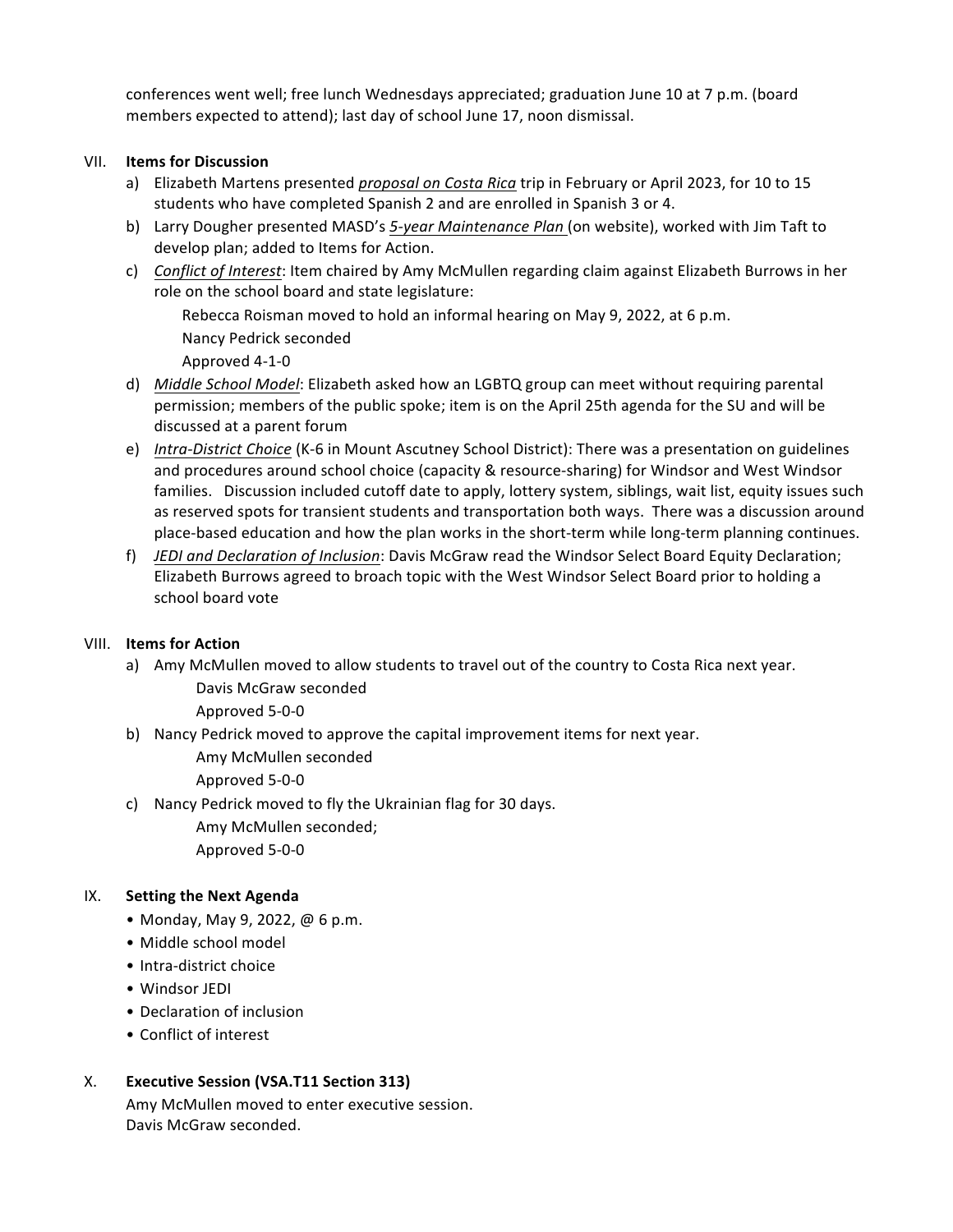conferences went well; free lunch Wednesdays appreciated; graduation June 10 at 7 p.m. (board members expected to attend); last day of school June 17, noon dismissal.

## **VII.** Items for Discussion

- a) Elizabeth Martens presented *proposal on Costa Rica* trip in February or April 2023, for 10 to 15 students who have completed Spanish 2 and are enrolled in Spanish 3 or 4.
- b) Larry Dougher presented MASD's 5-year Maintenance Plan (on website), worked with Jim Taft to develop plan; added to Items for Action.
- c) *Conflict of Interest*: Item chaired by Amy McMullen regarding claim against Elizabeth Burrows in her role on the school board and state legislature:

Rebecca Roisman moved to hold an informal hearing on May 9, 2022, at 6 p.m.

Nancy Pedrick seconded

Approved 4-1-0 

- d) *Middle School Model*: Elizabeth asked how an LGBTQ group can meet without requiring parental permission; members of the public spoke; item is on the April 25th agenda for the SU and will be discussed at a parent forum
- e) *Intra-District Choice* (K-6 in Mount Ascutney School District): There was a presentation on guidelines and procedures around school choice (capacity & resource-sharing) for Windsor and West Windsor families. Discussion included cutoff date to apply, lottery system, siblings, wait list, equity issues such as reserved spots for transient students and transportation both ways. There was a discussion around place-based education and how the plan works in the short-term while long-term planning continues.
- f) JEDI and Declaration of *Inclusion*: Davis McGraw read the Windsor Select Board Equity Declaration; Elizabeth Burrows agreed to broach topic with the West Windsor Select Board prior to holding a school board vote

## **VIII.** Items for Action

a) Amy McMullen moved to allow students to travel out of the country to Costa Rica next year.

Davis McGraw seconded 

Approved 5-0-0

b) Nancy Pedrick moved to approve the capital improvement items for next year.

Amy McMullen seconded 

Approved 5-0-0

c) Nancy Pedrick moved to fly the Ukrainian flag for 30 days.

Amy McMullen seconded; Approved 5-0-0

## IX. Setting the Next Agenda

- Monday, May 9, 2022,  $@6p.m.$
- Middle school model
- Intra-district choice
- Windsor JEDI
- Declaration of inclusion
- Conflict of interest

## X. **Executive Session (VSA.T11 Section 313)**

Amy McMullen moved to enter executive session. Davis McGraw seconded.